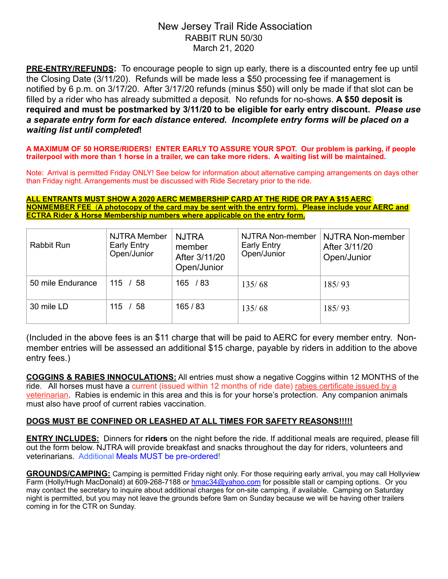# New Jersey Trail Ride Association RABBIT RUN 50/30 March 21, 2020

**PRE-ENTRY/REFUNDS:** To encourage people to sign up early, there is a discounted entry fee up until the Closing Date (3/11/20). Refunds will be made less a \$50 processing fee if management is notified by 6 p.m. on 3/17/20. After 3/17/20 refunds (minus \$50) will only be made if that slot can be filled by a rider who has already submitted a deposit. No refunds for no-shows. **A \$50 deposit is required and must be postmarked by 3/11/20 to be eligible for early entry discount.** *Please use a separate entry form for each distance entered***.** *Incomplete entry forms will be placed on a waiting list until completed***!** 

**A MAXIMUM OF 50 HORSE/RIDERS! ENTER EARLY TO ASSURE YOUR SPOT. Our problem is parking, if people trailerpool with more than 1 horse in a trailer, we can take more riders. A waiting list will be maintained.** 

Note: Arrival is permitted Friday ONLY! See below for information about alternative camping arrangements on days other than Friday night. Arrangements must be discussed with Ride Secretary prior to the ride.

**ALL ENTRANTS MUST SHOW A 2020 AERC MEMBERSHIP CARD AT THE RIDE OR PAY A \$15 AERC NONMEMBER FEE** (**A photocopy of the card may be sent with the entry form). Please include your AERC and ECTRA Rider & Horse Membership numbers where applicable on the entry form.**

| <b>Rabbit Run</b> | <b>NJTRA Member</b><br><b>Early Entry</b><br>Open/Junior | <b>NJTRA</b><br>member<br>After 3/11/20<br>Open/Junior | NJTRA Non-member<br><b>Early Entry</b><br>Open/Junior | NJTRA Non-member<br>After 3/11/20<br>Open/Junior |
|-------------------|----------------------------------------------------------|--------------------------------------------------------|-------------------------------------------------------|--------------------------------------------------|
| 50 mile Endurance | $115 \; / \; 58$                                         | 165 / 83                                               | 135/68                                                | 185/93                                           |
| 30 mile LD        | 115 / 58                                                 | 165/83                                                 | 135/68                                                | 185/93                                           |

(Included in the above fees is an \$11 charge that will be paid to AERC for every member entry. Nonmember entries will be assessed an additional \$15 charge, payable by riders in addition to the above entry fees.)

**COGGINS & RABIES INNOCULATIONS:** All entries must show a negative Coggins within 12 MONTHS of the ride. All horses must have a current (issued within 12 months of ride date) rabies certificate issued by a veterinarian. Rabies is endemic in this area and this is for your horse's protection. Any companion animals must also have proof of current rabies vaccination.

## **DOGS MUST BE CONFINED OR LEASHED AT ALL TIMES FOR SAFETY REASONS!!!!!**

**ENTRY INCLUDES:** Dinners for **riders** on the night before the ride. If additional meals are required, please fill out the form below. NJTRA will provide breakfast and snacks throughout the day for riders, volunteers and veterinarians. Additional Meals MUST be pre-ordered!

**GROUNDS/CAMPING:** Camping is permitted Friday night only. For those requiring early arrival, you may call Hollyview Farm (Holly/Hugh MacDonald) at 609-268-7188 or hmac34@yahoo.com for possible stall or camping options. Or you may contact the secretary to inquire about additional charges for on-site camping, if available. Camping on Saturday night is permitted, but you may not leave the grounds before 9am on Sunday because we will be having other trailers coming in for the CTR on Sunday.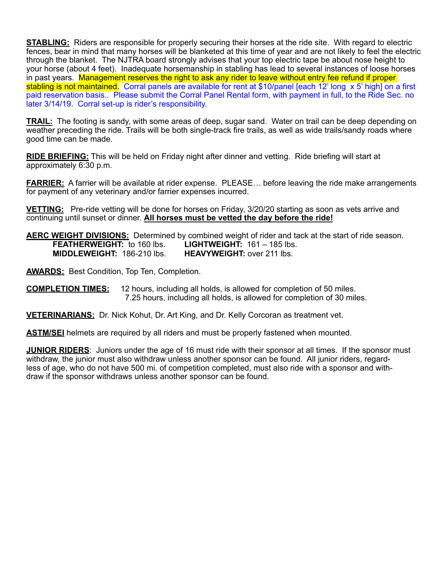**STABLING:** Riders are responsible for properly securing their horses at the ride site. With regard to electric fences, bear in mind that many horses will be blanketed at this time of year and are not likely to feel the electric through the blanket. The NJTRA board strongly advises that your top electric tape be about nose height to your horse (about 4 feet). Inadequate horsemanship in stabling has lead to several instances of loose horses in past years. Management reserves the right to ask any rider to leave without entry fee refund if proper stabling is not maintained. Corral panels are available for rent at \$10/panel [each 12' long x 5' high] on a first paid reservation basis.. Please submit the Corral Panel Rental form, with payment in full, to the Ride Sec. no later 3/14/19. Corral set-up is rider's responsibility.

**TRAIL:** The footing is sandy, with some areas of deep, sugar sand. Water on trail can be deep depending on weather preceding the ride. Trails will be both single-track fire trails, as well as wide trails/sandy roads where good time can be made.

**RIDE BRIEFING:** This will be held on Friday night after dinner and vetting. Ride briefing will start at approximately 6:30 p.m.

**FARRIER:** A farrier will be available at rider expense. PLEASE... before leaving the ride make arrangements for payment of any veterinary and/or farrier expenses incurred.

**VETTING:** Pre-ride vetting will be done for horses on Friday, 3/20/20 starting as soon as vets arrive and continuing until sunset or dinner. **All horses must be vetted the day before the ride!** 

**AERC WEIGHT DIVISIONS:** Determined by combined weight of rider and tack at the start of ride season. **FEATHERWEIGHT:** to 160 lbs. **LIGHTWEIGHT:** 161 – 185 lbs. **MIDDLEWEIGHT:** 186-210 lbs. **HEAVYWEIGHT:** over 211 lbs.

**AWARDS:** Best Condition, Top Ten, Completion.

**COMPLETION TIMES:** 12 hours, including all holds, is allowed for completion of 50 miles. 7.25 hours, including all holds, is allowed for completion of 30 miles.

**VETERINARIANS:** Dr. Nick Kohut, Dr. Art King, and Dr. Kelly Corcoran as treatment vet.

**ASTM/SEI** helmets are required by all riders and must be properly fastened when mounted.

**JUNIOR RIDERS**: Juniors under the age of 16 must ride with their sponsor at all times. If the sponsor must withdraw, the junior must also withdraw unless another sponsor can be found. All junior riders, regardless of age, who do not have 500 mi. of competition completed, must also ride with a sponsor and withdraw if the sponsor withdraws unless another sponsor can be found.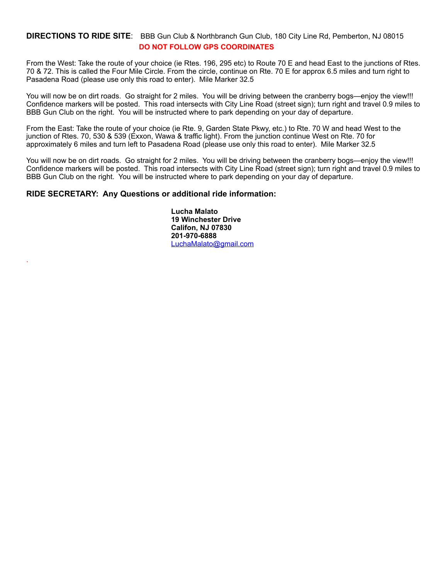## **DIRECTIONS TO RIDE SITE**: BBB Gun Club & Northbranch Gun Club, 180 City Line Rd, Pemberton, NJ 08015 **DO NOT FOLLOW GPS COORDINATES**

From the West: Take the route of your choice (ie Rtes. 196, 295 etc) to Route 70 E and head East to the junctions of Rtes. 70 & 72. This is called the Four Mile Circle. From the circle, continue on Rte. 70 E for approx 6.5 miles and turn right to Pasadena Road (please use only this road to enter). Mile Marker 32.5

You will now be on dirt roads. Go straight for 2 miles. You will be driving between the cranberry bogs—enjoy the view!!! Confidence markers will be posted. This road intersects with City Line Road (street sign); turn right and travel 0.9 miles to BBB Gun Club on the right. You will be instructed where to park depending on your day of departure.

From the East: Take the route of your choice (ie Rte. 9, Garden State Pkwy, etc.) to Rte. 70 W and head West to the junction of Rtes. 70, 530 & 539 (Exxon, Wawa & traffic light). From the junction continue West on Rte. 70 for approximately 6 miles and turn left to Pasadena Road (please use only this road to enter). Mile Marker 32.5

You will now be on dirt roads. Go straight for 2 miles. You will be driving between the cranberry bogs—enjoy the view!!! Confidence markers will be posted. This road intersects with City Line Road (street sign); turn right and travel 0.9 miles to BBB Gun Club on the right. You will be instructed where to park depending on your day of departure.

### **RIDE SECRETARY: Any Questions or additional ride information:**

.

 **Lucha Malato 19 Winchester Drive Califon, NJ 07830 201-970-6888** [LuchaMalato@gmail.com](mailto:LuchaMalato@gmail.com)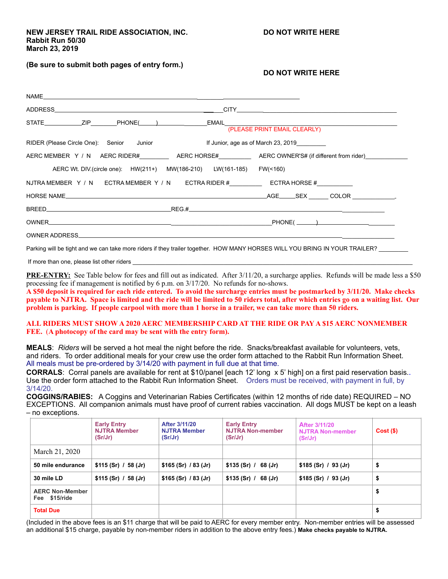### **(Be sure to submit both pages of entry form.)**

### **DO NOT WRITE HERE**

| NAME                                                              |                                                                                                                    |  |
|-------------------------------------------------------------------|--------------------------------------------------------------------------------------------------------------------|--|
|                                                                   |                                                                                                                    |  |
| STATE_______________ZIP    PHONE(______)         EMAIL            | (PLEASE PRINT EMAIL CLEARLY)                                                                                       |  |
| RIDER (Please Circle One): Senior Junior                          | If Junior, age as of March 23, 2019                                                                                |  |
|                                                                   | AERC MEMBER Y / N AERC RIDER#________________AERC HORSE#___________________AERC OWNER'S# (if different from rider) |  |
| AERC Wt. DIV. (circle one): HW(211+) MW(186-210) LW(161-185)      | FW(<160)                                                                                                           |  |
| NJTRA MEMBER Y / N ECTRA MEMBER Y / N ECTRA RIDER # ECTRA HORSE # |                                                                                                                    |  |
|                                                                   |                                                                                                                    |  |
|                                                                   |                                                                                                                    |  |
|                                                                   |                                                                                                                    |  |
| <b>OWNER ADDRESS</b>                                              |                                                                                                                    |  |
|                                                                   |                                                                                                                    |  |

Parking will be tight and we can take more riders if they trailer together. HOW MANY HORSES WILL YOU BRING IN YOUR TRAILER?

If more than one, please list other riders

**PRE-ENTRY:** See Table below for fees and fill out as indicated. After 3/11/20, a surcharge applies. Refunds will be made less a \$50 processing fee if management is notified by 6 p.m. on 3/17/20. No refunds for no-shows.

**A \$50 deposit is required for each ride entered. To avoid the surcharge entries must be postmarked by 3/11/20. Make checks payable to NJTRA. Space is limited and the ride will be limited to 50 riders total, after which entries go on a waiting list. Our problem is parking. If people carpool with more than 1 horse in a trailer, we can take more than 50 riders.** 

#### **ALL RIDERS MUST SHOW A 2020 AERC MEMBERSHIP CARD AT THE RIDE OR PAY A \$15 AERC NONMEMBER FEE.** (**A photocopy of the card may be sent with the entry form).**

**MEALS**: *Riders* will be served a hot meal the night before the ride. Snacks/breakfast available for volunteers, vets, and riders. To order additional meals for your crew use the order form attached to the Rabbit Run Information Sheet. All meals must be pre-ordered by 3/14/20 with payment in full due at that time.

**CORRALS**: Corral panels are available for rent at \$10/panel [each 12' long x 5' high] on a first paid reservation basis..<br>Use the order form attached to the Rabbit Run Information Sheet. Orders must be received, with paym 3/14/20.

**COGGINS/RABIES:** A Coggins and Veterinarian Rabies Certificates (within 12 months of ride date) REQUIRED – NO EXCEPTIONS. All companion animals must have proof of current rabies vaccination. All dogs MUST be kept on a leash – no exceptions.

|                                         | <b>Early Entry</b><br><b>NJTRA Member</b><br>(Sr/Jr) | After 3/11/20<br><b>NJTRA Member</b><br>(Sr/Jr) | <b>Early Entry</b><br><b>NJTRA Non-member</b><br>(Sr/Jr) | After 3/11/20<br><b>NJTRA Non-member</b><br>(Sr/Jr) | $Cost($ \$) |
|-----------------------------------------|------------------------------------------------------|-------------------------------------------------|----------------------------------------------------------|-----------------------------------------------------|-------------|
| March 21, 2020                          |                                                      |                                                 |                                                          |                                                     |             |
| 50 mile endurance                       | \$115(Sr) / 58(Jr)                                   | \$165 (Sr) / 83 (Jr)                            | \$135(Sr) / 68(Jr)                                       | \$185(Sr) / 93(Jr)                                  | \$          |
| 30 mile LD                              | \$115(Sr) / 58(Jr)                                   | \$165 (Sr) / 83 (Jr)                            | \$135(Sr) / 68(Jr)                                       | \$185(Sr) / 93(Jr)                                  | \$          |
| <b>AERC Non-Member</b><br>Fee \$15/ride |                                                      |                                                 |                                                          |                                                     | \$          |
| <b>Total Due</b>                        |                                                      |                                                 |                                                          |                                                     | \$          |

(Included in the above fees is an \$11 charge that will be paid to AERC for every member entry. Non-member entries will be assessed an additional \$15 charge, payable by non-member riders in addition to the above entry fees.) **Make checks payable to NJTRA.**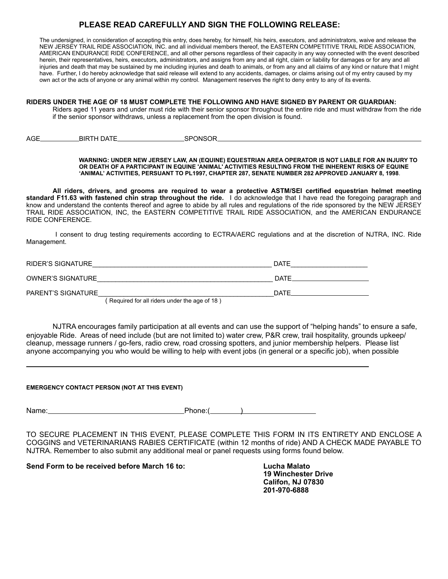## **PLEASE READ CAREFULLY AND SIGN THE FOLLOWING RELEASE:**

The undersigned, in consideration of accepting this entry, does hereby, for himself, his heirs, executors, and administrators, waive and release the NEW JERSEY TRAIL RIDE ASSOCIATION, INC. and all individual members thereof, the EASTERN COMPETITIVE TRAIL RIDE ASSOCIATION, AMERICAN ENDURANCE RIDE CONFERENCE, and all other persons regardless of their capacity in any way connected with the event described herein, their representatives, heirs, executors, administrators, and assigns from any and all right, claim or liability for damages or for any and all injuries and death that may be sustained by me including injuries and death to animals, or from any and all claims of any kind or nature that I might have. Further, I do hereby acknowledge that said release will extend to any accidents, damages, or claims arising out of my entry caused by my own act or the acts of anyone or any animal within my control. Management reserves the right to deny entry to any of its events.

#### **RIDERS UNDER THE AGE OF 18 MUST COMPLETE THE FOLLOWING AND HAVE SIGNED BY PARENT OR GUARDIAN:**

Riders aged 11 years and under must ride with their senior sponsor throughout the entire ride and must withdraw from the ride if the senior sponsor withdraws, unless a replacement from the open division is found.

AGE BIRTH DATE SPONSOR

#### **WARNING: UNDER NEW JERSEY LAW, AN (EQUINE) EQUESTRIAN AREA OPERATOR IS NOT LIABLE FOR AN INJURY TO OR DEATH OF A PARTICIPANT IN EQUINE 'ANIMAL' ACTIVITIES RESULTING FROM THE INHERENT RISKS OF EQUINE 'ANIMAL' ACTIVITIES, PERSUANT TO PL1997, CHAPTER 287, SENATE NUMBER 282 APPROVED JANUARY 8, 1998**.

**All riders, drivers, and grooms are required to wear a protective ASTM/SEI certified equestrian helmet meeting standard F11.63 with fastened chin strap throughout the ride.** I do acknowledge that I have read the foregoing paragraph and know and understand the contents thereof and agree to abide by all rules and regulations of the ride sponsored by the NEW JERSEY TRAIL RIDE ASSOCIATION, INC, the EASTERN COMPETITIVE TRAIL RIDE ASSOCIATION, and the AMERICAN ENDURANCE RIDE CONFERENCE.

 I consent to drug testing requirements according to ECTRA/AERC regulations and at the discretion of NJTRA, INC. Ride Management.

| RIDER'S SIGNATURE         |                                              | DATE        |
|---------------------------|----------------------------------------------|-------------|
| <b>OWNER'S SIGNATURE</b>  |                                              | <b>DATE</b> |
| <b>PARENT'S SIGNATURE</b> |                                              | DATE        |
|                           | Required for all riders under the age of 18) |             |

NJTRA encourages family participation at all events and can use the support of "helping hands" to ensure a safe, enjoyable Ride. Areas of need include (but are not limited to) water crew, P&R crew, trail hospitality, grounds upkeep/ cleanup, message runners / go-fers, radio crew, road crossing spotters, and junior membership helpers. Please list anyone accompanying you who would be willing to help with event jobs (in general or a specific job), when possible

#### **EMERGENCY CONTACT PERSON (NOT AT THIS EVENT)**

 $\overline{a}$ 

Name: Phone: Phone: ()

TO SECURE PLACEMENT IN THIS EVENT, PLEASE COMPLETE THIS FORM IN ITS ENTIRETY AND ENCLOSE A COGGINS and VETERINARIANS RABIES CERTIFICATE (within 12 months of ride) AND A CHECK MADE PAYABLE TO NJTRA. Remember to also submit any additional meal or panel requests using forms found below.

**Send Form to be received before March 16 to: Lucha Malato** 

 **19 Winchester Drive Califon, NJ 07830 201-970-6888**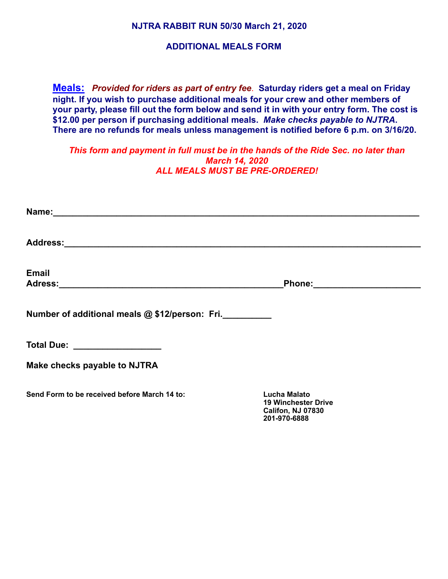**NJTRA RABBIT RUN 50/30 March 21, 2020** 

## **ADDITIONAL MEALS FORM**

**Meals:** *Provided for riders as part of entry fee*. **Saturday riders get a meal on Friday night. If you wish to purchase additional meals for your crew and other members of your party, please fill out the form below and send it in with your entry form. The cost is \$12.00 per person if purchasing additional meals.** *Make checks payable to NJTRA***. There are no refunds for meals unless management is notified before 6 p.m. on 3/16/20.** 

*This form and payment in full must be in the hands of the Ride Sec. no later than March 14, 2020 ALL MEALS MUST BE PRE-ORDERED!* 

| <b>Email</b>                                   | Phone: _________________________                                                              |  |
|------------------------------------------------|-----------------------------------------------------------------------------------------------|--|
| Number of additional meals @ \$12/person: Fri. |                                                                                               |  |
| Total Due: <u>___________________</u>          |                                                                                               |  |
| Make checks payable to NJTRA                   |                                                                                               |  |
| Send Form to be received before March 14 to:   | <b>Lucha Malato</b><br><b>19 Winchester Drive</b><br><b>Califon, NJ 07830</b><br>201-970-6888 |  |